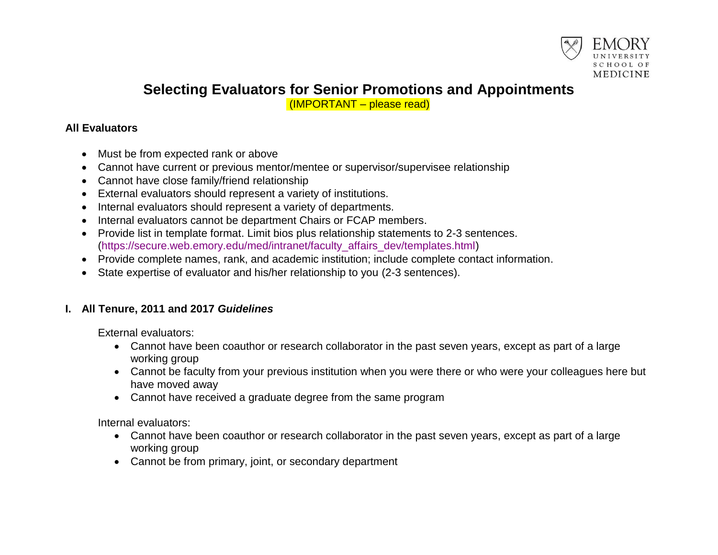

# **Selecting Evaluators for Senior Promotions and Appointments**

(IMPORTANT – please read)

### **All Evaluators**

- Must be from expected rank or above
- Cannot have current or previous mentor/mentee or supervisor/supervisee relationship
- Cannot have close family/friend relationship
- External evaluators should represent a variety of institutions.
- Internal evaluators should represent a variety of departments.
- Internal evaluators cannot be department Chairs or FCAP members.
- Provide list in template format. Limit bios plus relationship statements to 2-3 sentences. [\(https://secure.web.emory.edu/med/intranet/faculty\\_affairs\\_dev/templates.html\)](https://secure.web.emory.edu/med/intranet/faculty_affairs_dev/templates.html)
- Provide complete names, rank, and academic institution; include complete contact information.
- State expertise of evaluator and his/her relationship to you (2-3 sentences).

## **I. All Tenure, 2011 and 2017** *Guidelines*

External evaluators:

- Cannot have been coauthor or research collaborator in the past seven years, except as part of a large working group
- Cannot be faculty from your previous institution when you were there or who were your colleagues here but have moved away
- Cannot have received a graduate degree from the same program

Internal evaluators:

- Cannot have been coauthor or research collaborator in the past seven years, except as part of a large working group
- Cannot be from primary, joint, or secondary department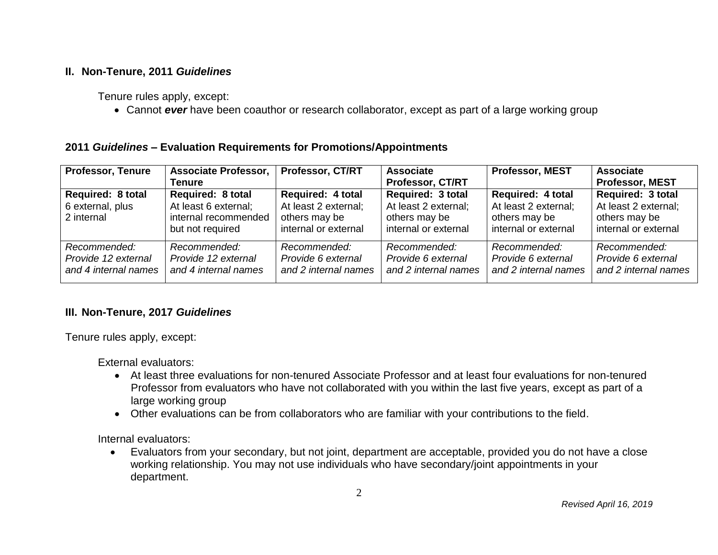#### **II. Non-Tenure, 2011** *Guidelines*

Tenure rules apply, except:

Cannot *ever* have been coauthor or research collaborator, except as part of a large working group

#### **2011** *Guidelines* **– Evaluation Requirements for Promotions/Appointments**

| <b>Professor, Tenure</b>                                    | <b>Associate Professor,</b><br>Tenure                                                        | <b>Professor, CT/RT</b>                                                                   | <b>Associate</b><br>Professor, CT/RT                                                      | <b>Professor, MEST</b>                                                                    | <b>Associate</b><br><b>Professor, MEST</b>                                         |
|-------------------------------------------------------------|----------------------------------------------------------------------------------------------|-------------------------------------------------------------------------------------------|-------------------------------------------------------------------------------------------|-------------------------------------------------------------------------------------------|------------------------------------------------------------------------------------|
| <b>Required: 8 total</b><br>6 external, plus<br>2 internal  | <b>Required: 8 total</b><br>At least 6 external;<br>internal recommended<br>but not required | <b>Required: 4 total</b><br>At least 2 external;<br>others may be<br>internal or external | <b>Required: 3 total</b><br>At least 2 external;<br>others may be<br>internal or external | <b>Required: 4 total</b><br>At least 2 external;<br>others may be<br>internal or external | Required: 3 total<br>At least 2 external;<br>others may be<br>internal or external |
| Recommended:<br>Provide 12 external<br>and 4 internal names | Recommended:<br>Provide 12 external<br>and 4 internal names                                  | Recommended:<br>Provide 6 external<br>and 2 internal names                                | Recommended:<br>Provide 6 external<br>and 2 internal names                                | Recommended:<br>Provide 6 external<br>and 2 internal names                                | Recommended:<br>Provide 6 external<br>and 2 internal names                         |

#### **III. Non-Tenure, 2017** *Guidelines*

Tenure rules apply, except:

External evaluators:

- At least three evaluations for non-tenured Associate Professor and at least four evaluations for non-tenured Professor from evaluators who have not collaborated with you within the last five years, except as part of a large working group
- Other evaluations can be from collaborators who are familiar with your contributions to the field.

Internal evaluators:

 Evaluators from your secondary, but not joint, department are acceptable, provided you do not have a close working relationship. You may not use individuals who have secondary/joint appointments in your department.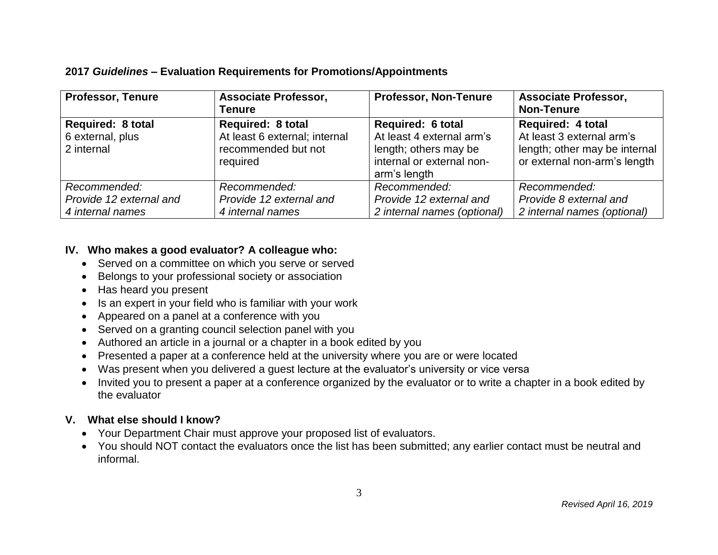#### **2017** *Guidelines* **– Evaluation Requirements for Promotions/Appointments**

| <b>Professor, Tenure</b> | <b>Associate Professor,</b>   | <b>Professor, Non-Tenure</b> | <b>Associate Professor,</b>   |
|--------------------------|-------------------------------|------------------------------|-------------------------------|
|                          | <b>Tenure</b>                 |                              | <b>Non-Tenure</b>             |
| <b>Required: 8 total</b> | <b>Required: 8 total</b>      | <b>Required: 6 total</b>     | <b>Required: 4 total</b>      |
| 6 external, plus         | At least 6 external; internal | At least 4 external arm's    | At least 3 external arm's     |
| 2 internal               | recommended but not           | length; others may be        | length; other may be internal |
|                          | required                      | internal or external non-    | or external non-arm's length  |
|                          |                               | arm's length                 |                               |
| Recommended:             | Recommended:                  | Recommended:                 | Recommended:                  |
| Provide 12 external and  | Provide 12 external and       | Provide 12 external and      | Provide 8 external and        |
| 4 internal names         | 4 internal names              | 2 internal names (optional)  | 2 internal names (optional)   |

#### **IV. Who makes a good evaluator? A colleague who:**

- Served on a committee on which you serve or served
- Belongs to your professional society or association
- Has heard you present
- Is an expert in your field who is familiar with your work
- Appeared on a panel at a conference with you
- Served on a granting council selection panel with you
- Authored an article in a journal or a chapter in a book edited by you
- Presented a paper at a conference held at the university where you are or were located
- Was present when you delivered a guest lecture at the evaluator's university or vice versa
- Invited you to present a paper at a conference organized by the evaluator or to write a chapter in a book edited by the evaluator

## **V. What else should I know?**

- Your Department Chair must approve your proposed list of evaluators.
- You should NOT contact the evaluators once the list has been submitted; any earlier contact must be neutral and informal.